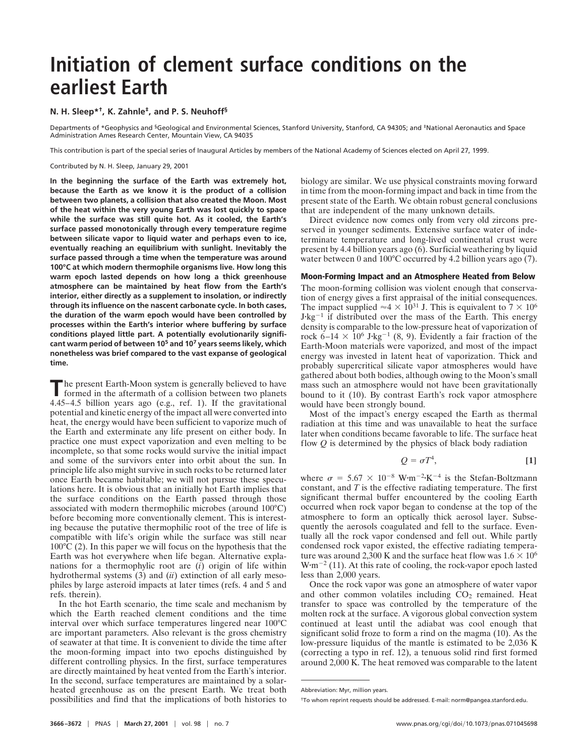# **Initiation of clement surface conditions on the earliest Earth**

# **N. H. Sleep\*†, K. Zahnle‡, and P. S. Neuhoff§**

Departments of \*Geophysics and §Geological and Environmental Sciences, Stanford University, Stanford, CA 94305; and ‡National Aeronautics and Space Administration Ames Research Center, Mountain View, CA 94035

This contribution is part of the special series of Inaugural Articles by members of the National Academy of Sciences elected on April 27, 1999.

Contributed by N. H. Sleep, January 29, 2001

**In the beginning the surface of the Earth was extremely hot, because the Earth as we know it is the product of a collision between two planets, a collision that also created the Moon. Most of the heat within the very young Earth was lost quickly to space while the surface was still quite hot. As it cooled, the Earth's surface passed monotonically through every temperature regime between silicate vapor to liquid water and perhaps even to ice, eventually reaching an equilibrium with sunlight. Inevitably the surface passed through a time when the temperature was around 100°C at which modern thermophile organisms live. How long this warm epoch lasted depends on how long a thick greenhouse atmosphere can be maintained by heat flow from the Earth's interior, either directly as a supplement to insolation, or indirectly through its influence on the nascent carbonate cycle. In both cases, the duration of the warm epoch would have been controlled by processes within the Earth's interior where buffering by surface conditions played little part. A potentially evolutionarily significant warm period of between 105 and 107 years seems likely, which nonetheless was brief compared to the vast expanse of geological time.**

The present Earth-Moon system is generally believed to have<br>formed in the aftermath of a collision between two planets 4.45–4.5 billion years ago (e.g., ref. 1). If the gravitational potential and kinetic energy of the impact all were converted into heat, the energy would have been sufficient to vaporize much of the Earth and exterminate any life present on either body. In practice one must expect vaporization and even melting to be incomplete, so that some rocks would survive the initial impact and some of the survivors enter into orbit about the sun. In principle life also might survive in such rocks to be returned later once Earth became habitable; we will not pursue these speculations here. It is obvious that an initially hot Earth implies that the surface conditions on the Earth passed through those associated with modern thermophilic microbes (around 100°C) before becoming more conventionally clement. This is interesting because the putative thermophilic root of the tree of life is compatible with life's origin while the surface was still near  $100^{\circ}$ C (2). In this paper we will focus on the hypothesis that the Earth was hot everywhere when life began. Alternative explanations for a thermophylic root are (*i*) origin of life within hydrothermal systems (3) and (*ii*) extinction of all early mesophiles by large asteroid impacts at later times (refs. 4 and 5 and refs. therein).

In the hot Earth scenario, the time scale and mechanism by which the Earth reached clement conditions and the time interval over which surface temperatures lingered near 100°C are important parameters. Also relevant is the gross chemistry of seawater at that time. It is convenient to divide the time after the moon-forming impact into two epochs distinguished by different controlling physics. In the first, surface temperatures are directly maintained by heat vented from the Earth's interior. In the second, surface temperatures are maintained by a solarheated greenhouse as on the present Earth. We treat both possibilities and find that the implications of both histories to

biology are similar. We use physical constraints moving forward in time from the moon-forming impact and back in time from the present state of the Earth. We obtain robust general conclusions that are independent of the many unknown details.

Direct evidence now comes only from very old zircons preserved in younger sediments. Extensive surface water of indeterminate temperature and long-lived continental crust were present by 4.4 billion years ago (6). Surficial weathering by liquid water between 0 and 100°C occurred by 4.2 billion years ago (7).

## **Moon-Forming Impact and an Atmosphere Heated from Below**

The moon-forming collision was violent enough that conservation of energy gives a first appraisal of the initial consequences. The impact supplied  $\approx 4 \times 10^{31}$  J. This is equivalent to  $7 \times 10^6$  $J$ ·kg<sup>-1</sup> if distributed over the mass of the Earth. This energy density is comparable to the low-pressure heat of vaporization of rock 6–14  $\times$  10<sup>6</sup> J·kg<sup>-1</sup> (8, 9). Evidently a fair fraction of the Earth-Moon materials were vaporized, and most of the impact energy was invested in latent heat of vaporization. Thick and probably supercritical silicate vapor atmospheres would have gathered about both bodies, although owing to the Moon's small mass such an atmosphere would not have been gravitationally bound to it (10). By contrast Earth's rock vapor atmosphere would have been strongly bound.

Most of the impact's energy escaped the Earth as thermal radiation at this time and was unavailable to heat the surface later when conditions became favorable to life. The surface heat flow *Q* is determined by the physics of black body radiation

$$
Q = \sigma T^4,\tag{1}
$$

where  $\sigma = 5.67 \times 10^{-8}$  W·m<sup>-2</sup>·K<sup>-4</sup> is the Stefan-Boltzmann constant, and *T* is the effective radiating temperature. The first significant thermal buffer encountered by the cooling Earth occurred when rock vapor began to condense at the top of the atmosphere to form an optically thick aerosol layer. Subsequently the aerosols coagulated and fell to the surface. Eventually all the rock vapor condensed and fell out. While partly condensed rock vapor existed, the effective radiating temperature was around 2,300 K and the surface heat flow was  $1.6 \times 10^6$  $W \cdot m^{-2}$  (11). At this rate of cooling, the rock-vapor epoch lasted less than 2,000 years.

Once the rock vapor was gone an atmosphere of water vapor and other common volatiles including  $CO<sub>2</sub>$  remained. Heat transfer to space was controlled by the temperature of the molten rock at the surface. A vigorous global convection system continued at least until the adiabat was cool enough that significant solid froze to form a rind on the magma (10). As the low-pressure liquidus of the mantle is estimated to be 2,036 K (correcting a typo in ref. 12), a tenuous solid rind first formed around 2,000 K. The heat removed was comparable to the latent

Abbreviation: Myr, million years.

<sup>†</sup>To whom reprint requests should be addressed. E-mail: norm@pangea.stanford.edu.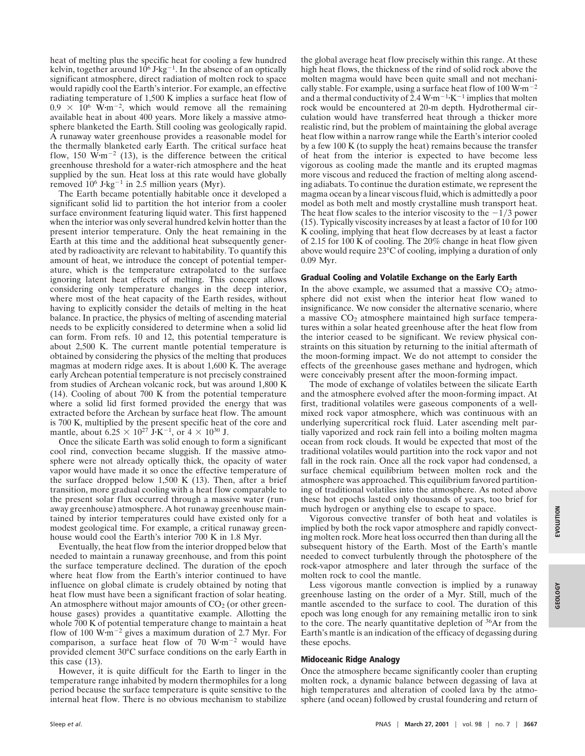heat of melting plus the specific heat for cooling a few hundred kelvin, together around  $10^6$  J·kg<sup>-1</sup>. In the absence of an optically significant atmosphere, direct radiation of molten rock to space would rapidly cool the Earth's interior. For example, an effective radiating temperature of 1,500 K implies a surface heat flow of  $0.9 \times 10^6$  W·m<sup>-2</sup>, which would remove all the remaining available heat in about 400 years. More likely a massive atmosphere blanketed the Earth. Still cooling was geologically rapid. A runaway water greenhouse provides a reasonable model for the thermally blanketed early Earth. The critical surface heat flow, 150  $\text{W}\cdot\text{m}^{-2}$  (13), is the difference between the critical greenhouse threshold for a water-rich atmosphere and the heat supplied by the sun. Heat loss at this rate would have globally removed  $10^6$  J·kg<sup>-1</sup> in 2.5 million years (Myr).

The Earth became potentially habitable once it developed a significant solid lid to partition the hot interior from a cooler surface environment featuring liquid water. This first happened when the interior was only several hundred kelvin hotter than the present interior temperature. Only the heat remaining in the Earth at this time and the additional heat subsequently generated by radioactivity are relevant to habitability. To quantify this amount of heat, we introduce the concept of potential temperature, which is the temperature extrapolated to the surface ignoring latent heat effects of melting. This concept allows considering only temperature changes in the deep interior, where most of the heat capacity of the Earth resides, without having to explicitly consider the details of melting in the heat balance. In practice, the physics of melting of ascending material needs to be explicitly considered to determine when a solid lid can form. From refs. 10 and 12, this potential temperature is about 2,500 K. The current mantle potential temperature is obtained by considering the physics of the melting that produces magmas at modern ridge axes. It is about 1,600 K. The average early Archean potential temperature is not precisely constrained from studies of Archean volcanic rock, but was around 1,800 K (14). Cooling of about 700 K from the potential temperature where a solid lid first formed provided the energy that was extracted before the Archean by surface heat flow. The amount is 700 K, multiplied by the present specific heat of the core and mantle, about 6.25  $\times$  10<sup>27</sup> J·K<sup>-1</sup>, or 4  $\times$  10<sup>30</sup> J.

Once the silicate Earth was solid enough to form a significant cool rind, convection became sluggish. If the massive atmosphere were not already optically thick, the opacity of water vapor would have made it so once the effective temperature of the surface dropped below 1,500 K  $(13)$ . Then, after a brief transition, more gradual cooling with a heat flow comparable to the present solar flux occurred through a massive water (runaway greenhouse) atmosphere. A hot runaway greenhouse maintained by interior temperatures could have existed only for a modest geological time. For example, a critical runaway greenhouse would cool the Earth's interior 700 K in 1.8 Myr.

Eventually, the heat flow from the interior dropped below that needed to maintain a runaway greenhouse, and from this point the surface temperature declined. The duration of the epoch where heat flow from the Earth's interior continued to have influence on global climate is crudely obtained by noting that heat flow must have been a significant fraction of solar heating. An atmosphere without major amounts of  $CO<sub>2</sub>$  (or other greenhouse gases) provides a quantitative example. Allotting the whole  $700$  K of potential temperature change to maintain a heat flow of 100 W·m<sup>-2</sup> gives a maximum duration of 2.7 Myr. For comparison, a surface heat flow of  $70 \text{ W}\cdot\text{m}^{-2}$  would have provided clement 30°C surface conditions on the early Earth in this case (13).

However, it is quite difficult for the Earth to linger in the temperature range inhabited by modern thermophiles for a long period because the surface temperature is quite sensitive to the internal heat flow. There is no obvious mechanism to stabilize

the global average heat flow precisely within this range. At these high heat flows, the thickness of the rind of solid rock above the molten magma would have been quite small and not mechanically stable. For example, using a surface heat flow of 100  $W \cdot m^{-2}$ and a thermal conductivity of 2.4  $W \cdot m^{-1} \cdot K^{-1}$  implies that molten rock would be encountered at 20-m depth. Hydrothermal circulation would have transferred heat through a thicker more realistic rind, but the problem of maintaining the global average heat flow within a narrow range while the Earth's interior cooled by a few 100 K (to supply the heat) remains because the transfer of heat from the interior is expected to have become less vigorous as cooling made the mantle and its erupted magmas more viscous and reduced the fraction of melting along ascending adiabats. To continue the duration estimate, we represent the magma ocean by a linear viscous fluid, which is admittedly a poor model as both melt and mostly crystalline mush transport heat. The heat flow scales to the interior viscosity to the  $-1/3$  power (15). Typically viscosity increases by at least a factor of 10 for 100 K cooling, implying that heat flow decreases by at least a factor of 2.15 for 100 K of cooling. The  $20\%$  change in heat flow given above would require 23°C of cooling, implying a duration of only 0.09 Myr.

## **Gradual Cooling and Volatile Exchange on the Early Earth**

In the above example, we assumed that a massive  $CO<sub>2</sub>$  atmosphere did not exist when the interior heat flow waned to insignificance. We now consider the alternative scenario, where a massive  $CO<sub>2</sub>$  atmosphere maintained high surface temperatures within a solar heated greenhouse after the heat flow from the interior ceased to be significant. We review physical constraints on this situation by returning to the initial aftermath of the moon-forming impact. We do not attempt to consider the effects of the greenhouse gases methane and hydrogen, which were conceivably present after the moon-forming impact.

The mode of exchange of volatiles between the silicate Earth and the atmosphere evolved after the moon-forming impact. At first, traditional volatiles were gaseous components of a wellmixed rock vapor atmosphere, which was continuous with an underlying supercritical rock fluid. Later ascending melt partially vaporized and rock rain fell into a boiling molten magma ocean from rock clouds. It would be expected that most of the traditional volatiles would partition into the rock vapor and not fall in the rock rain. Once all the rock vapor had condensed, a surface chemical equilibrium between molten rock and the atmosphere was approached. This equilibrium favored partitioning of traditional volatiles into the atmosphere. As noted above these hot epochs lasted only thousands of years, too brief for much hydrogen or anything else to escape to space.

Vigorous convective transfer of both heat and volatiles is implied by both the rock vapor atmosphere and rapidly convecting molten rock. More heat loss occurred then than during all the subsequent history of the Earth. Most of the Earth's mantle needed to convect turbulently through the photosphere of the rock-vapor atmosphere and later through the surface of the molten rock to cool the mantle.

Less vigorous mantle convection is implied by a runaway greenhouse lasting on the order of a Myr. Still, much of the mantle ascended to the surface to cool. The duration of this epoch was long enough for any remaining metallic iron to sink to the core. The nearly quantitative depletion of 36Ar from the Earth's mantle is an indication of the efficacy of degassing during these epochs.

#### **Midoceanic Ridge Analogy**

Once the atmosphere became significantly cooler than erupting molten rock, a dynamic balance between degassing of lava at high temperatures and alteration of cooled lava by the atmosphere (and ocean) followed by crustal foundering and return of **GEOLOGY**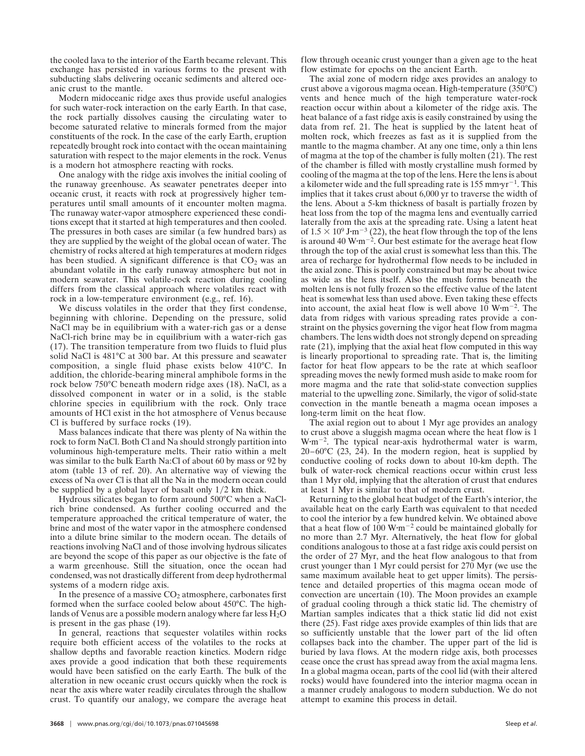the cooled lava to the interior of the Earth became relevant. This exchange has persisted in various forms to the present with subducting slabs delivering oceanic sediments and altered oceanic crust to the mantle.

Modern midoceanic ridge axes thus provide useful analogies for such water-rock interaction on the early Earth. In that case, the rock partially dissolves causing the circulating water to become saturated relative to minerals formed from the major constituents of the rock. In the case of the early Earth, eruption repeatedly brought rock into contact with the ocean maintaining saturation with respect to the major elements in the rock. Venus is a modern hot atmosphere reacting with rocks.

One analogy with the ridge axis involves the initial cooling of the runaway greenhouse. As seawater penetrates deeper into oceanic crust, it reacts with rock at progressively higher temperatures until small amounts of it encounter molten magma. The runaway water-vapor atmosphere experienced these conditions except that it started at high temperatures and then cooled. The pressures in both cases are similar (a few hundred bars) as they are supplied by the weight of the global ocean of water. The chemistry of rocks altered at high temperatures at modern ridges has been studied. A significant difference is that  $CO<sub>2</sub>$  was an abundant volatile in the early runaway atmosphere but not in modern seawater. This volatile-rock reaction during cooling differs from the classical approach where volatiles react with rock in a low-temperature environment (e.g., ref. 16).

We discuss volatiles in the order that they first condense, beginning with chlorine. Depending on the pressure, solid NaCl may be in equilibrium with a water-rich gas or a dense NaCl-rich brine may be in equilibrium with a water-rich gas (17). The transition temperature from two fluids to fluid plus solid NaCl is 481°C at 300 bar. At this pressure and seawater composition, a single fluid phase exists below 410°C. In addition, the chloride-bearing mineral amphibole forms in the rock below 750°C beneath modern ridge axes (18). NaCl, as a dissolved component in water or in a solid, is the stable chlorine species in equilibrium with the rock. Only trace amounts of HCl exist in the hot atmosphere of Venus because Cl is buffered by surface rocks (19).

Mass balances indicate that there was plenty of Na within the rock to form NaCl. Both Cl and Na should strongly partition into voluminous high-temperature melts. Their ratio within a melt was similar to the bulk Earth Na:Cl of about 60 by mass or 92 by atom (table 13 of ref. 20). An alternative way of viewing the excess of Na over Cl is that all the Na in the modern ocean could be supplied by a global layer of basalt only  $1/2$  km thick.

Hydrous silicates began to form around 500°C when a NaClrich brine condensed. As further cooling occurred and the temperature approached the critical temperature of water, the brine and most of the water vapor in the atmosphere condensed into a dilute brine similar to the modern ocean. The details of reactions involving NaCl and of those involving hydrous silicates are beyond the scope of this paper as our objective is the fate of a warm greenhouse. Still the situation, once the ocean had condensed, was not drastically different from deep hydrothermal systems of a modern ridge axis.

In the presence of a massive  $CO<sub>2</sub>$  atmosphere, carbonates first formed when the surface cooled below about 450°C. The highlands of Venus are a possible modern analogy where far less  $\overline{H_2O}$ is present in the gas phase (19).

In general, reactions that sequester volatiles within rocks require both efficient access of the volatiles to the rocks at shallow depths and favorable reaction kinetics. Modern ridge axes provide a good indication that both these requirements would have been satisfied on the early Earth. The bulk of the alteration in new oceanic crust occurs quickly when the rock is near the axis where water readily circulates through the shallow crust. To quantify our analogy, we compare the average heat flow through oceanic crust younger than a given age to the heat flow estimate for epochs on the ancient Earth.

The axial zone of modern ridge axes provides an analogy to crust above a vigorous magma ocean. High-temperature (350°C) vents and hence much of the high temperature water-rock reaction occur within about a kilometer of the ridge axis. The heat balance of a fast ridge axis is easily constrained by using the data from ref. 21. The heat is supplied by the latent heat of molten rock, which freezes as fast as it is supplied from the mantle to the magma chamber. At any one time, only a thin lens of magma at the top of the chamber is fully molten (21). The rest of the chamber is filled with mostly crystalline mush formed by cooling of the magma at the top of the lens. Here the lens is about a kilometer wide and the full spreading rate is 155 mm·yr<sup>-1</sup>. This implies that it takes crust about 6,000 yr to traverse the width of the lens. About a 5-km thickness of basalt is partially frozen by heat loss from the top of the magma lens and eventually carried laterally from the axis at the spreading rate. Using a latent heat of  $1.5 \times 10^9$  J·m<sup>-3</sup> (22), the heat flow through the top of the lens is around 40 W·m<sup>-2</sup>. Our best estimate for the average heat flow through the top of the axial crust is somewhat less than this. The area of recharge for hydrothermal flow needs to be included in the axial zone. This is poorly constrained but may be about twice as wide as the lens itself. Also the mush forms beneath the molten lens is not fully frozen so the effective value of the latent heat is somewhat less than used above. Even taking these effects into account, the axial heat flow is well above 10  $W \cdot m^{-2}$ . The data from ridges with various spreading rates provide a constraint on the physics governing the vigor heat flow from magma chambers. The lens width does not strongly depend on spreading rate (21), implying that the axial heat flow computed in this way is linearly proportional to spreading rate. That is, the limiting factor for heat flow appears to be the rate at which seafloor spreading moves the newly formed mush aside to make room for more magma and the rate that solid-state convection supplies material to the upwelling zone. Similarly, the vigor of solid-state convection in the mantle beneath a magma ocean imposes a long-term limit on the heat flow.

The axial region out to about 1 Myr age provides an analogy to crust above a sluggish magma ocean where the heat flow is 1  $W \cdot m^{-2}$ . The typical near-axis hydrothermal water is warm, 20–60°C (23, 24). In the modern region, heat is supplied by conductive cooling of rocks down to about 10-km depth. The bulk of water-rock chemical reactions occur within crust less than 1 Myr old, implying that the alteration of crust that endures at least 1 Myr is similar to that of modern crust.

Returning to the global heat budget of the Earth's interior, the available heat on the early Earth was equivalent to that needed to cool the interior by a few hundred kelvin. We obtained above that a heat flow of 100  $W \cdot m^{-2}$  could be maintained globally for no more than 2.7 Myr. Alternatively, the heat flow for global conditions analogous to those at a fast ridge axis could persist on the order of 27 Myr, and the heat flow analogous to that from crust younger than 1 Myr could persist for 270 Myr (we use the same maximum available heat to get upper limits). The persistence and detailed properties of this magma ocean mode of convection are uncertain (10). The Moon provides an example of gradual cooling through a thick static lid. The chemistry of Martian samples indicates that a thick static lid did not exist there (25). Fast ridge axes provide examples of thin lids that are so sufficiently unstable that the lower part of the lid often collapses back into the chamber. The upper part of the lid is buried by lava flows. At the modern ridge axis, both processes cease once the crust has spread away from the axial magma lens. In a global magma ocean, parts of the cool lid (with their altered rocks) would have foundered into the interior magma ocean in a manner crudely analogous to modern subduction. We do not attempt to examine this process in detail.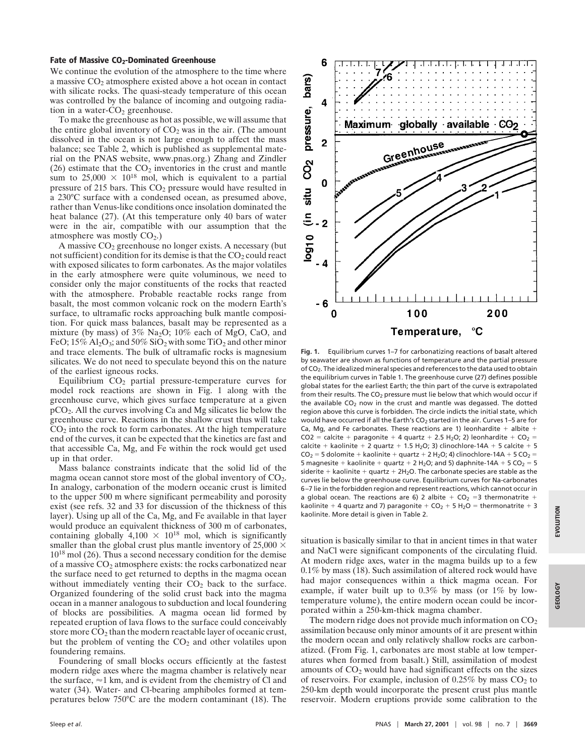### Fate of Massive CO<sub>2</sub>-Dominated Greenhouse

We continue the evolution of the atmosphere to the time where a massive  $CO<sub>2</sub>$  atmosphere existed above a hot ocean in contact with silicate rocks. The quasi-steady temperature of this ocean was controlled by the balance of incoming and outgoing radiation in a water- $CO<sub>2</sub>$  greenhouse.

To make the greenhouse as hot as possible, we will assume that the entire global inventory of  $CO<sub>2</sub>$  was in the air. (The amount dissolved in the ocean is not large enough to affect the mass balance; see Table 2, which is published as supplemental material on the PNAS website, www.pnas.org.) Zhang and Zindler (26) estimate that the  $CO<sub>2</sub>$  inventories in the crust and mantle sum to  $25,000 \times 10^{18}$  mol, which is equivalent to a partial pressure of 215 bars. This CO<sub>2</sub> pressure would have resulted in a 230°C surface with a condensed ocean, as presumed above, rather than Venus-like conditions once insolation dominated the heat balance (27). (At this temperature only 40 bars of water were in the air, compatible with our assumption that the atmosphere was mostly  $CO<sub>2</sub>$ .)

A massive  $CO<sub>2</sub>$  greenhouse no longer exists. A necessary (but not sufficient) condition for its demise is that the  $CO<sub>2</sub>$  could react with exposed silicates to form carbonates. As the major volatiles in the early atmosphere were quite voluminous, we need to consider only the major constituents of the rocks that reacted with the atmosphere. Probable reactable rocks range from basalt, the most common volcanic rock on the modern Earth's surface, to ultramafic rocks approaching bulk mantle composition. For quick mass balances, basalt may be represented as a mixture (by mass) of  $3\%$  Na<sub>2</sub>O;  $10\%$  each of MgO, CaO, and FeO;  $15\%$  Al<sub>2</sub>O<sub>3</sub>; and  $50\%$  SiO<sub>2</sub> with some TiO<sub>2</sub> and other minor and trace elements. The bulk of ultramafic rocks is magnesium silicates. We do not need to speculate beyond this on the nature of the earliest igneous rocks.

Equilibrium  $CO<sub>2</sub>$  partial pressure-temperature curves for model rock reactions are shown in Fig. 1 along with the greenhouse curve, which gives surface temperature at a given pCO2. All the curves involving Ca and Mg silicates lie below the greenhouse curve. Reactions in the shallow crust thus will take  $CO<sub>2</sub>$  into the rock to form carbonates. At the high temperature end of the curves, it can be expected that the kinetics are fast and that accessible Ca, Mg, and Fe within the rock would get used up in that order.

Mass balance constraints indicate that the solid lid of the magma ocean cannot store most of the global inventory of  $CO<sub>2</sub>$ . In analogy, carbonation of the modern oceanic crust is limited to the upper 500 m where significant permeability and porosity exist (see refs. 32 and 33 for discussion of the thickness of this layer). Using up all of the Ca, Mg, and Fe available in that layer would produce an equivalent thickness of 300 m of carbonates, containing globally  $4,100 \times 10^{18}$  mol, which is significantly smaller than the global crust plus mantle inventory of 25,000  $\times$ 10<sup>18</sup> mol (26). Thus a second necessary condition for the demise of a massive  $CO<sub>2</sub>$  atmosphere exists: the rocks carbonatized near the surface need to get returned to depths in the magma ocean without immediately venting their  $CO<sub>2</sub>$  back to the surface. Organized foundering of the solid crust back into the magma ocean in a manner analogous to subduction and local foundering of blocks are possibilities. A magma ocean lid formed by repeated eruption of lava flows to the surface could conceivably store more  $CO<sub>2</sub>$  than the modern reactable layer of oceanic crust, but the problem of venting the  $CO<sub>2</sub>$  and other volatiles upon foundering remains.

Foundering of small blocks occurs efficiently at the fastest modern ridge axes where the magma chamber is relatively near the surface,  $\approx$ 1 km, and is evident from the chemistry of Cl and water (34). Water- and Cl-bearing amphiboles formed at temperatures below 750°C are the modern contaminant (18). The



**Fig. 1.** Equilibrium curves 1–7 for carbonatizing reactions of basalt altered by seawater are shown as functions of temperature and the partial pressure of CO<sub>2</sub>. The idealized mineral species and references to the data used to obtain the equilibrium curves in Table 1. The greenhouse curve (27) defines possible global states for the earliest Earth; the thin part of the curve is extrapolated from their results. The  $CO<sub>2</sub>$  pressure must lie below that which would occur if the available  $CO<sub>2</sub>$  now in the crust and mantle was degassed. The dotted region above this curve is forbidden. The circle indicts the initial state, which would have occurred if all the Earth's  $CO<sub>2</sub>$  started in the air. Curves 1–5 are for Ca, Mg, and Fe carbonates. These reactions are 1) leonhardite  $+$  albite  $+$  $CO2 =$  calcite + paragonite + 4 quartz + 2.5 H<sub>2</sub>O; 2) leonhardite +  $CO<sub>2</sub> =$ calcite + kaolinite + 2 quartz + 1.5 H<sub>2</sub>O; 3) clinochlore-14A + 5 calcite + 5  $CO<sub>2</sub> = 5$  dolomite + kaolinite + quartz + 2 H<sub>2</sub>O; 4) clinochlore-14A + 5 CO<sub>2</sub> = 5 magnesite + kaolinite + quartz + 2 H<sub>2</sub>O; and 5) daphnite-14A + 5 CO<sub>2</sub> = 5 siderite  $+$  kaolinite  $+$  quartz  $+$  2H<sub>2</sub>O. The carbonate species are stable as the curves lie below the greenhouse curve. Equilibrium curves for Na-carbonates 6–7 lie in the forbidden region and represent reactions, which cannot occur in a global ocean. The reactions are 6) 2 albite +  $CO<sub>2</sub> = 3$  thermonatrite + kaolinite + 4 quartz and 7) paragonite +  $CO<sub>2</sub>$  + 5 H<sub>2</sub>O = thermonatrite + 3 kaolinite. More detail is given in Table 2.

situation is basically similar to that in ancient times in that water and NaCl were significant components of the circulating fluid. At modern ridge axes, water in the magma builds up to a few 0.1% by mass (18). Such assimilation of altered rock would have had major consequences within a thick magma ocean. For example, if water built up to 0.3% by mass (or 1% by lowtemperature volume), the entire modern ocean could be incorporated within a 250-km-thick magma chamber.

The modern ridge does not provide much information on  $CO<sub>2</sub>$ assimilation because only minor amounts of it are present within the modern ocean and only relatively shallow rocks are carbonatized. (From Fig. 1, carbonates are most stable at low temperatures when formed from basalt.) Still, assimilation of modest amounts of  $CO<sub>2</sub>$  would have had significant effects on the sizes of reservoirs. For example, inclusion of  $0.25\%$  by mass CO<sub>2</sub> to 250-km depth would incorporate the present crust plus mantle reservoir. Modern eruptions provide some calibration to the

**GEOLOGY**

**GEOLOGY**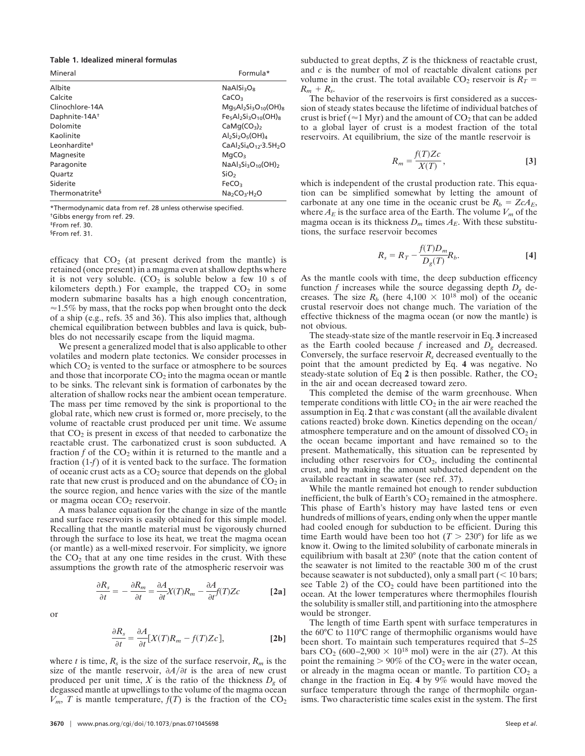#### **Table 1. Idealized mineral formulas**

| Mineral                    | Formula*                                          |
|----------------------------|---------------------------------------------------|
| Albite                     | $NaAISi_3O_8$                                     |
| Calcite                    | CaCO <sub>3</sub>                                 |
| Clinochlore-14A            | $Mg_5Al_2Si_3O_{10}(OH)_8$                        |
| Daphnite-14A <sup>+</sup>  | $Fe5Al2Si3O10(OH)8$                               |
| Dolomite                   | CaMq(CO <sub>3</sub> ) <sub>2</sub>               |
| Kaolinite                  | $Al2Si2O5(OH)4$                                   |
| Leonhardite <sup>#</sup>   | $CaAl2Si4O12·3.5H2O$                              |
| Magnesite                  | MqCO <sub>3</sub>                                 |
| Paragonite                 | $NaAl3Si3O10(OH)2$                                |
| <b>Ouartz</b>              | SiO <sub>2</sub>                                  |
| Siderite                   | FeCO <sub>3</sub>                                 |
| Thermonatrite <sup>§</sup> | Na <sub>2</sub> CO <sub>3</sub> ·H <sub>2</sub> O |

\*Thermodynamic data from ref. 28 unless otherwise specified. †Gibbs energy from ref. 29.

‡From ref. 30.

§From ref. 31.

efficacy that  $CO<sub>2</sub>$  (at present derived from the mantle) is retained (once present) in a magma even at shallow depths where it is not very soluble.  $(CO<sub>2</sub>$  is soluble below a few 10 s of kilometers depth.) For example, the trapped  $CO<sub>2</sub>$  in some modern submarine basalts has a high enough concentration,  $\approx$  1.5% by mass, that the rocks pop when brought onto the deck of a ship (e.g., refs. 35 and 36). This also implies that, although chemical equilibration between bubbles and lava is quick, bubbles do not necessarily escape from the liquid magma.

We present a generalized model that is also applicable to other volatiles and modern plate tectonics. We consider processes in which  $CO<sub>2</sub>$  is vented to the surface or atmosphere to be sources and those that incorporate  $CO<sub>2</sub>$  into the magma ocean or mantle to be sinks. The relevant sink is formation of carbonates by the alteration of shallow rocks near the ambient ocean temperature. The mass per time removed by the sink is proportional to the global rate, which new crust is formed or, more precisely, to the volume of reactable crust produced per unit time. We assume that  $CO<sub>2</sub>$  is present in excess of that needed to carbonatize the reactable crust. The carbonatized crust is soon subducted. A fraction  $f$  of the  $CO_2$  within it is returned to the mantle and a fraction (1-*f*) of it is vented back to the surface. The formation of oceanic crust acts as a CO2 source that depends on the global rate that new crust is produced and on the abundance of  $CO<sub>2</sub>$  in the source region, and hence varies with the size of the mantle or magma ocean CO<sub>2</sub> reservoir.

A mass balance equation for the change in size of the mantle and surface reservoirs is easily obtained for this simple model. Recalling that the mantle material must be vigorously churned through the surface to lose its heat, we treat the magma ocean (or mantle) as a well-mixed reservoir. For simplicity, we ignore the  $CO<sub>2</sub>$  that at any one time resides in the crust. With these assumptions the growth rate of the atmospheric reservoir was

$$
\frac{\partial R_s}{\partial t} = -\frac{\partial R_m}{\partial t} = \frac{\partial A}{\partial t} X(T) R_m - \frac{\partial A}{\partial t} f(T) Zc
$$
 [2a]

or

$$
\frac{\partial R_s}{\partial t} = \frac{\partial A}{\partial t}[X(T)R_m - f(T)Zc],
$$
 [2b]

where *t* is time,  $R_s$  is the size of the surface reservoir,  $R_m$  is the size of the mantle reservoir,  $\partial A/\partial t$  is the area of new crust produced per unit time,  $X$  is the ratio of the thickness  $D_g$  of degassed mantle at upwellings to the volume of the magma ocean  $V_m$ , *T* is mantle temperature,  $f(T)$  is the fraction of the CO<sub>2</sub> subducted to great depths, *Z* is the thickness of reactable crust, and *c* is the number of mol of reactable divalent cations per volume in the crust. The total available  $CO_2$  reservoir is  $R_T =$  $R_m + R_s$ .

The behavior of the reservoirs is first considered as a succession of steady states because the lifetime of individual batches of crust is brief ( $\approx$ 1 Myr) and the amount of CO<sub>2</sub> that can be added to a global layer of crust is a modest fraction of the total reservoirs. At equilibrium, the size of the mantle reservoir is

$$
R_m = \frac{f(T)Zc}{X(T)},
$$
 [3]

which is independent of the crustal production rate. This equation can be simplified somewhat by letting the amount of carbonate at any one time in the oceanic crust be  $R_b = ZcA_E$ , where  $A_E$  is the surface area of the Earth. The volume  $V_m$  of the magma ocean is its thickness  $D_m$  times  $A_E$ . With these substitutions, the surface reservoir becomes

$$
R_s = R_T - \frac{f(T)D_m}{D_g(T)}R_b.
$$

As the mantle cools with time, the deep subduction efficency function *f* increases while the source degassing depth *Dg* decreases. The size  $R_b$  (here 4,100  $\times$  10<sup>18</sup> mol) of the oceanic crustal reservoir does not change much. The variation of the effective thickness of the magma ocean (or now the mantle) is not obvious.

The steady-state size of the mantle reservoir in Eq. **3** increased as the Earth cooled because *f* increased and *Dg* decreased. Conversely, the surface reservoir  $R_s$  decreased eventually to the point that the amount predicted by Eq. **4** was negative. No steady-state solution of Eq  $2$  is then possible. Rather, the  $CO<sub>2</sub>$ in the air and ocean decreased toward zero.

This completed the demise of the warm greenhouse. When temperate conditions with little  $CO<sub>2</sub>$  in the air were reached the assumption in Eq. **2** that *c* was constant (all the available divalent cations reacted) broke down. Kinetics depending on the ocean/ atmosphere temperature and on the amount of dissolved  $CO<sub>2</sub>$  in the ocean became important and have remained so to the present. Mathematically, this situation can be represented by including other reservoirs for  $CO<sub>2</sub>$ , including the continental crust, and by making the amount subducted dependent on the available reactant in seawater (see ref. 37).

While the mantle remained hot enough to render subduction inefficient, the bulk of Earth's  $CO<sub>2</sub>$  remained in the atmosphere. This phase of Earth's history may have lasted tens or even hundreds of millions of years, ending only when the upper mantle had cooled enough for subduction to be efficient. During this time Earth would have been too hot  $(T > 230^{\circ})$  for life as we know it. Owing to the limited solubility of carbonate minerals in equilibrium with basalt at 230° (note that the cation content of the seawater is not limited to the reactable 300 m of the crust because seawater is not subducted), only a small part  $(< 10$  bars; see Table 2) of the  $CO<sub>2</sub>$  could have been partitioned into the ocean. At the lower temperatures where thermophiles flourish the solubility is smaller still, and partitioning into the atmosphere would be stronger.

The length of time Earth spent with surface temperatures in the 60°C to 110°C range of thermophilic organisms would have been short. To maintain such temperatures required that 5–25 bars  $CO_2$  (600–2,900  $\times$  10<sup>18</sup> mol) were in the air (27). At this point the remaining  $> 90\%$  of the CO<sub>2</sub> were in the water ocean, or already in the magma ocean or mantle. To partition  $CO<sub>2</sub>$  a change in the fraction in Eq. **4** by 9% would have moved the surface temperature through the range of thermophile organisms. Two characteristic time scales exist in the system. The first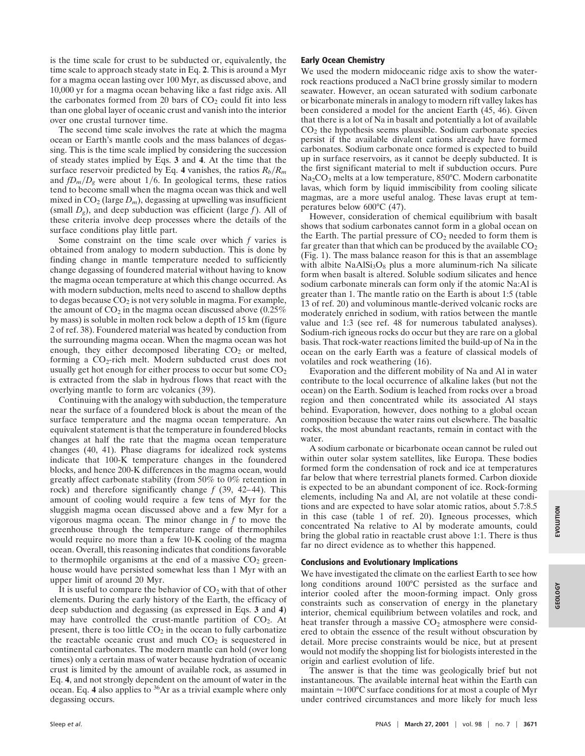is the time scale for crust to be subducted or, equivalently, the time scale to approach steady state in Eq. **2**. This is around a Myr for a magma ocean lasting over 100 Myr, as discussed above, and 10,000 yr for a magma ocean behaving like a fast ridge axis. All the carbonates formed from 20 bars of  $CO<sub>2</sub>$  could fit into less than one global layer of oceanic crust and vanish into the interior over one crustal turnover time.

The second time scale involves the rate at which the magma ocean or Earth's mantle cools and the mass balances of degassing. This is the time scale implied by considering the succession of steady states implied by Eqs. **3** and **4**. At the time that the surface reservoir predicted by Eq. 4 vanishes, the ratios  $R_b/R_m$ and  $fD_m/D_g$  were about 1/6. In geological terms, these ratios tend to become small when the magma ocean was thick and well mixed in  $CO_2$  (large  $D_m$ ), degassing at upwelling was insufficient (small *Dg*), and deep subduction was efficient (large *f*). All of these criteria involve deep processes where the details of the surface conditions play little part.

Some constraint on the time scale over which *f* varies is obtained from analogy to modern subduction. This is done by finding change in mantle temperature needed to sufficiently change degassing of foundered material without having to know the magma ocean temperature at which this change occurred. As with modern subduction, melts need to ascend to shallow depths to degas because  $CO<sub>2</sub>$  is not very soluble in magma. For example, the amount of  $CO<sub>2</sub>$  in the magma ocean discussed above (0.25%) by mass) is soluble in molten rock below a depth of 15 km (figure 2 of ref. 38). Foundered material was heated by conduction from the surrounding magma ocean. When the magma ocean was hot enough, they either decomposed liberating  $CO<sub>2</sub>$  or melted, forming a  $CO<sub>2</sub>$ -rich melt. Modern subducted crust does not usually get hot enough for either process to occur but some  $CO<sub>2</sub>$ is extracted from the slab in hydrous flows that react with the overlying mantle to form arc volcanics (39).

Continuing with the analogy with subduction, the temperature near the surface of a foundered block is about the mean of the surface temperature and the magma ocean temperature. An equivalent statement is that the temperature in foundered blocks changes at half the rate that the magma ocean temperature changes (40, 41). Phase diagrams for idealized rock systems indicate that 100-K temperature changes in the foundered blocks, and hence 200-K differences in the magma ocean, would greatly affect carbonate stability (from 50% to 0% retention in rock) and therefore significantly change *f* (39, 42–44). This amount of cooling would require a few tens of Myr for the sluggish magma ocean discussed above and a few Myr for a vigorous magma ocean. The minor change in *f* to move the greenhouse through the temperature range of thermophiles would require no more than a few 10-K cooling of the magma ocean. Overall, this reasoning indicates that conditions favorable to thermophile organisms at the end of a massive  $CO<sub>2</sub>$  greenhouse would have persisted somewhat less than 1 Myr with an upper limit of around 20 Myr.

It is useful to compare the behavior of  $CO<sub>2</sub>$  with that of other elements. During the early history of the Earth, the efficacy of deep subduction and degassing (as expressed in Eqs. **3** and **4**) may have controlled the crust-mantle partition of  $CO<sub>2</sub>$ . At present, there is too little  $CO<sub>2</sub>$  in the ocean to fully carbonatize the reactable oceanic crust and much  $CO<sub>2</sub>$  is sequestered in continental carbonates. The modern mantle can hold (over long times) only a certain mass of water because hydration of oceanic crust is limited by the amount of available rock, as assumed in Eq. **4**, and not strongly dependent on the amount of water in the ocean. Eq. **4** also applies to 36Ar as a trivial example where only degassing occurs.

# **Early Ocean Chemistry**

We used the modern midoceanic ridge axis to show the waterrock reactions produced a NaCl brine grossly similar to modern seawater. However, an ocean saturated with sodium carbonate or bicarbonate minerals in analogy to modern rift valley lakes has been considered a model for the ancient Earth (45, 46). Given that there is a lot of Na in basalt and potentially a lot of available  $CO<sub>2</sub>$  the hypothesis seems plausible. Sodium carbonate species persist if the available divalent cations already have formed carbonates. Sodium carbonate once formed is expected to build up in surface reservoirs, as it cannot be deeply subducted. It is the first significant material to melt if subduction occurs. Pure  $Na<sub>2</sub>CO<sub>3</sub>$  melts at a low temperature, 850°C. Modern carbonatite lavas, which form by liquid immiscibility from cooling silicate magmas, are a more useful analog. These lavas erupt at temperatures below 600°C (47).

However, consideration of chemical equilibrium with basalt shows that sodium carbonates cannot form in a global ocean on the Earth. The partial pressure of  $CO<sub>2</sub>$  needed to form them is far greater than that which can be produced by the available  $CO<sub>2</sub>$ (Fig. 1). The mass balance reason for this is that an assemblage with albite  $NaAlSi<sub>3</sub>O<sub>8</sub>$  plus a more aluminum-rich Na silicate form when basalt is altered. Soluble sodium silicates and hence sodium carbonate minerals can form only if the atomic Na:Al is greater than 1. The mantle ratio on the Earth is about 1:5 (table 13 of ref. 20) and voluminous mantle-derived volcanic rocks are moderately enriched in sodium, with ratios between the mantle value and 1:3 (see ref. 48 for numerous tabulated analyses). Sodium-rich igneous rocks do occur but they are rare on a global basis. That rock-water reactions limited the build-up of Na in the ocean on the early Earth was a feature of classical models of volatiles and rock weathering (16).

Evaporation and the different mobility of Na and Al in water contribute to the local occurrence of alkaline lakes (but not the ocean) on the Earth. Sodium is leached from rocks over a broad region and then concentrated while its associated Al stays behind. Evaporation, however, does nothing to a global ocean composition because the water rains out elsewhere. The basaltic rocks, the most abundant reactants, remain in contact with the water.

A sodium carbonate or bicarbonate ocean cannot be ruled out within outer solar system satellites, like Europa. These bodies formed form the condensation of rock and ice at temperatures far below that where terrestrial planets formed. Carbon dioxide is expected to be an abundant component of ice. Rock-forming elements, including Na and Al, are not volatile at these conditions and are expected to have solar atomic ratios, about 5.7:8.5 in this case (table 1 of ref. 20). Igneous processes, which concentrated Na relative to Al by moderate amounts, could bring the global ratio in reactable crust above 1:1. There is thus far no direct evidence as to whether this happened.

# **Conclusions and Evolutionary Implications**

We have investigated the climate on the earliest Earth to see how long conditions around 100°C persisted as the surface and interior cooled after the moon-forming impact. Only gross constraints such as conservation of energy in the planetary interior, chemical equilibrium between volatiles and rock, and heat transfer through a massive  $CO<sub>2</sub>$  atmosphere were considered to obtain the essence of the result without obscuration by detail. More precise constraints would be nice, but at present would not modify the shopping list for biologists interested in the origin and earliest evolution of life.

The answer is that the time was geologically brief but not instantaneous. The available internal heat within the Earth can maintain  $\approx 100^{\circ}$ C surface conditions for at most a couple of Myr under contrived circumstances and more likely for much less